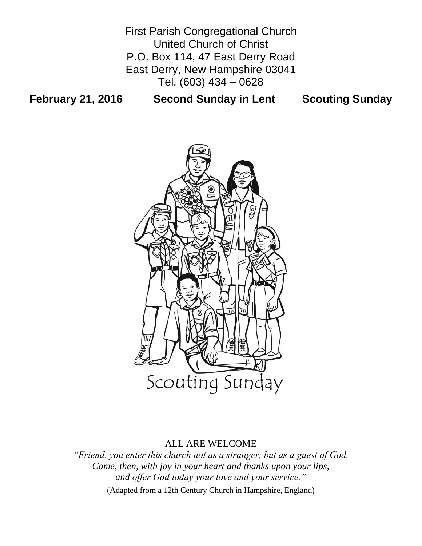First Parish Congregational Church United Church of Christ P.O. Box 114, 47 East Derry Road East Derry, New Hampshire 03041 Tel. (603) 434 – 0628

# **February 21, 2016 Second Sunday in Lent Scouting Sunday**



# ALL ARE WELCOME

*"Friend, you enter this church not as a stranger, but as a guest of God. Come, then, with joy in your heart and thanks upon your lips, and offer God today your love and your service."* (Adapted from a 12th Century Church in Hampshire, England)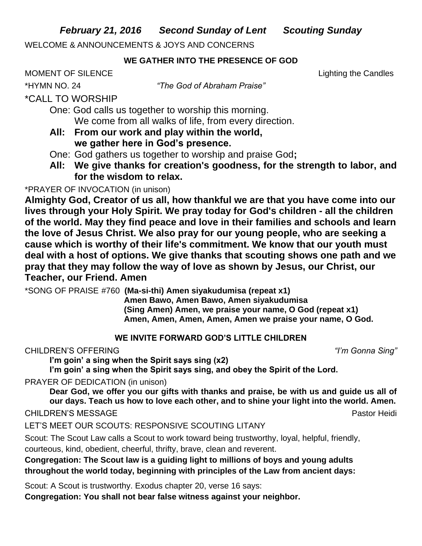*February 21, 2016 Second Sunday of Lent Scouting Sunday*

WELCOME & ANNOUNCEMENTS & JOYS AND CONCERNS

## **WE GATHER INTO THE PRESENCE OF GOD**

MOMENT OF SILENCE Lighting the Candles

\*HYMN NO. 24 *"The God of Abraham Praise"*

# \*CALL TO WORSHIP

- One: God calls us together to worship this morning. We come from all walks of life, from every direction.
- **All: From our work and play within the world, we gather here in God's presence.**
- One: God gathers us together to worship and praise God**;**
- **All: We give thanks for creation's goodness, for the strength to labor, and for the wisdom to relax.**

# \*PRAYER OF INVOCATION (in unison)

**Almighty God, Creator of us all, how thankful we are that you have come into our lives through your Holy Spirit. We pray today for God's children - all the children of the world. May they find peace and love in their families and schools and learn the love of Jesus Christ. We also pray for our young people, who are seeking a cause which is worthy of their life's commitment. We know that our youth must deal with a host of options. We give thanks that scouting shows one path and we pray that they may follow the way of love as shown by Jesus, our Christ, our Teacher, our Friend. Amen**

\*SONG OF PRAISE #760 **(Ma-si-thi) Amen siyakudumisa (repeat x1)**

**Amen Bawo, Amen Bawo, Amen siyakudumisa (Sing Amen) Amen, we praise your name, O God (repeat x1) Amen, Amen, Amen, Amen, Amen we praise your name, O God.**

## **WE INVITE FORWARD GOD'S LITTLE CHILDREN**

# CHILDREN'S OFFERING *"I'm Gonna Sing"*

**I'm goin' a sing when the Spirit says sing (x2)**

**I'm goin' a sing when the Spirit says sing, and obey the Spirit of the Lord.**

PRAYER OF DEDICATION (in unison)

**Dear God, we offer you our gifts with thanks and praise, be with us and guide us all of our days. Teach us how to love each other, and to shine your light into the world. Amen.**

CHILDREN'S MESSAGE PASTO DE L'ANNE DE L'ANNE DE L'ANNE DE L'ANNE DE L'ANNE DE L'ANNE DE L'ANNE DE L'ANNE DE L'A

LET'S MEET OUR SCOUTS: RESPONSIVE SCOUTING LITANY

Scout: The Scout Law calls a Scout to work toward being trustworthy, loyal, helpful, friendly, courteous, kind, obedient, cheerful, thrifty, brave, clean and reverent.

**Congregation: The Scout law is a guiding light to millions of boys and young adults throughout the world today, beginning with principles of the Law from ancient days:**

Scout: A Scout is trustworthy. Exodus chapter 20, verse 16 says:

**Congregation: You shall not bear false witness against your neighbor.**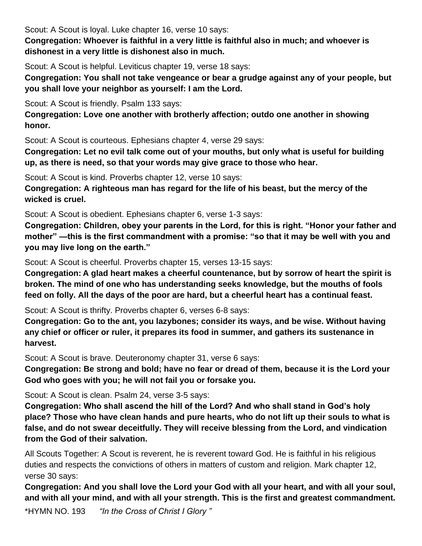Scout: A Scout is loyal. Luke chapter 16, verse 10 says:

**Congregation: Whoever is faithful in a very little is faithful also in much; and whoever is dishonest in a very little is dishonest also in much.** 

Scout: A Scout is helpful. Leviticus chapter 19, verse 18 says:

**Congregation: You shall not take vengeance or bear a grudge against any of your people, but you shall love your neighbor as yourself: I am the Lord.** 

Scout: A Scout is friendly. Psalm 133 says:

**Congregation: Love one another with brotherly affection; outdo one another in showing honor.** 

Scout: A Scout is courteous. Ephesians chapter 4, verse 29 says:

**Congregation: Let no evil talk come out of your mouths, but only what is useful for building up, as there is need, so that your words may give grace to those who hear.** 

Scout: A Scout is kind. Proverbs chapter 12, verse 10 says:

**Congregation: A righteous man has regard for the life of his beast, but the mercy of the wicked is cruel.** 

Scout: A Scout is obedient. Ephesians chapter 6, verse 1-3 says:

**Congregation: Children, obey your parents in the Lord, for this is right. "Honor your father and mother" —this is the first commandment with a promise: "so that it may be well with you and you may live long on the earth."** 

Scout: A Scout is cheerful. Proverbs chapter 15, verses 13-15 says:

**Congregation: A glad heart makes a cheerful countenance, but by sorrow of heart the spirit is broken. The mind of one who has understanding seeks knowledge, but the mouths of fools feed on folly. All the days of the poor are hard, but a cheerful heart has a continual feast.** 

Scout: A Scout is thrifty. Proverbs chapter 6, verses 6-8 says:

**Congregation: Go to the ant, you lazybones; consider its ways, and be wise. Without having any chief or officer or ruler, it prepares its food in summer, and gathers its sustenance in harvest.** 

Scout: A Scout is brave. Deuteronomy chapter 31, verse 6 says:

**Congregation: Be strong and bold; have no fear or dread of them, because it is the Lord your God who goes with you; he will not fail you or forsake you.** 

Scout: A Scout is clean. Psalm 24, verse 3-5 says:

**Congregation: Who shall ascend the hill of the Lord? And who shall stand in God's holy place? Those who have clean hands and pure hearts, who do not lift up their souls to what is false, and do not swear deceitfully. They will receive blessing from the Lord, and vindication from the God of their salvation.** 

All Scouts Together: A Scout is reverent, he is reverent toward God. He is faithful in his religious duties and respects the convictions of others in matters of custom and religion. Mark chapter 12, verse 30 says:

**Congregation: And you shall love the Lord your God with all your heart, and with all your soul, and with all your mind, and with all your strength. This is the first and greatest commandment.** 

\*HYMN NO. 193 *"In the Cross of Christ I Glory "*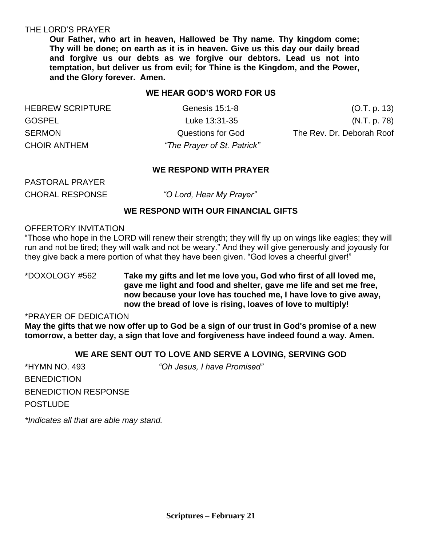#### THE LORD'S PRAYER

**Our Father, who art in heaven, Hallowed be Thy name. Thy kingdom come; Thy will be done; on earth as it is in heaven. Give us this day our daily bread and forgive us our debts as we forgive our debtors. Lead us not into temptation, but deliver us from evil; for Thine is the Kingdom, and the Power, and the Glory forever. Amen.**

### **WE HEAR GOD'S WORD FOR US**

| <b>HEBREW SCRIPTURE</b> |
|-------------------------|
| <b>GOSPEL</b>           |
| <b>SERMON</b>           |
| <b>CHOIR ANTHEM</b>     |

"The Prayer of St. Patrick"

Genesis 15:1-8 (O.T. p. 13) Luke 13:31-35 (N.T. p. 78) Questions for God The Rev. Dr. Deborah Roof

#### **WE RESPOND WITH PRAYER**

PASTORAL PRAYER

CHORAL RESPONSE *"O Lord, Hear My Prayer"* 

#### **WE RESPOND WITH OUR FINANCIAL GIFTS**

#### OFFERTORY INVITATION

"Those who hope in the LORD will renew their strength; they will fly up on wings like eagles; they will run and not be tired; they will walk and not be weary." And they will give generously and joyously for they give back a mere portion of what they have been given. "God loves a cheerful giver!"

### \*DOXOLOGY #562 **Take my gifts and let me love you, God who first of all loved me, gave me light and food and shelter, gave me life and set me free, now because your love has touched me, I have love to give away, now the bread of love is rising, loaves of love to multiply!**

#### \*PRAYER OF DEDICATION

**May the gifts that we now offer up to God be a sign of our trust in God's promise of a new tomorrow, a better day, a sign that love and forgiveness have indeed found a way. Amen.**

#### **WE ARE SENT OUT TO LOVE AND SERVE A LOVING, SERVING GOD**

\*HYMN NO. 493 *"Oh Jesus, I have Promised"* **BENEDICTION** BENEDICTION RESPONSE POSTLUDE

*\*Indicates all that are able may stand.*